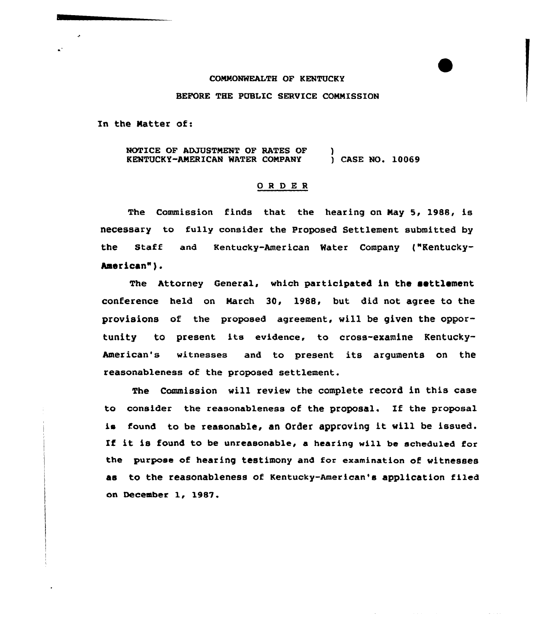## COMMONWEALTH OF KENTUCKY

## BEFORE THE PUBLIC SERVICE COMMISSION

In the Matter of:

NOTICE OF ADJUSTMENT OF RATES OF (3)<br>
KENTUCKY-AMERICAN WATER COMPANY (3) CASE NO. 10069 KENTUCKY-AMERICAN WATER COMPANY

## ORDER

The Commission finds that the hearing on May 5, 1988, is necessary to fully consider the Proposed Settlement submitted by the Staff and Kentucky-American Water Company ("Kentuckyhaerican").

The Attorney General, which participated in the settlement conference held on March 30, 1988, but did not agree to the provisions of the proposed agreement, will be given the opportunity to present its evidence, to cross-examine Kentucky-American's witnesses and to present its arguments on the reasonableness of the proposed settlement.

The Commission vill review the complete record in this case to consider the reasonableness of the proposal. Xf the proposal is found to be reasonable, an Order approving it will be issued. If it is found to be unreasonable, a hearing will be scheduled for the purpose of hearing testimony and for examination of witnesses as to the reasonableness of Kentucky-American's application filed on December 1, 1987.